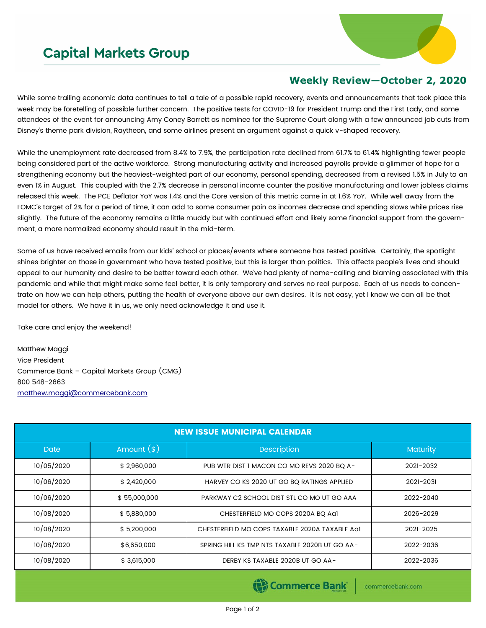## **Capital Markets Group**



## **Weekly Review—October 2, 2020**

While some trailing economic data continues to tell a tale of a possible rapid recovery, events and announcements that took place this week may be foretelling of possible further concern. The positive tests for COVID-19 for President Trump and the First Lady, and some attendees of the event for announcing Amy Coney Barrett as nominee for the Supreme Court along with a few announced job cuts from Disney's theme park division, Raytheon, and some airlines present an argument against a quick v-shaped recovery.

While the unemployment rate decreased from 8.4% to 7.9%, the participation rate declined from 61.7% to 61.4% highlighting fewer people being considered part of the active workforce. Strong manufacturing activity and increased payrolls provide a glimmer of hope for a strengthening economy but the heaviest-weighted part of our economy, personal spending, decreased from a revised 1.5% in July to an even 1% in August. This coupled with the 2.7% decrease in personal income counter the positive manufacturing and lower jobless claims released this week. The PCE Deflator YoY was 1.4% and the Core version of this metric came in at 1.6% YoY. While well away from the FOMC's target of 2% for a period of time, it can add to some consumer pain as incomes decrease and spending slows while prices rise slightly. The future of the economy remains a little muddy but with continued effort and likely some financial support from the government, a more normalized economy should result in the mid-term.

Some of us have received emails from our kids' school or places/events where someone has tested positive. Certainly, the spotlight shines brighter on those in government who have tested positive, but this is larger than politics. This affects people's lives and should appeal to our humanity and desire to be better toward each other. We've had plenty of name-calling and blaming associated with this pandemic and while that might make some feel better, it is only temporary and serves no real purpose. Each of us needs to concentrate on how we can help others, putting the health of everyone above our own desires. It is not easy, yet I know we can all be that model for others. We have it in us, we only need acknowledge it and use it.

Take care and enjoy the weekend!

Matthew Maggi Vice President Commerce Bank – Capital Markets Group (CMG) 800 548-2663 [matthew.maggi@commercebank.com](mailto:matthew.maggi@commercebank.com)

| <b>NEW ISSUE MUNICIPAL CALENDAR</b> |              |                                                |                 |  |  |  |
|-------------------------------------|--------------|------------------------------------------------|-----------------|--|--|--|
| <b>Date</b>                         | Amount $(*)$ | <b>Description</b>                             | <b>Maturity</b> |  |  |  |
| 10/05/2020                          | \$2,960,000  | PUB WTR DIST I MACON CO MO REVS 2020 BQ A-     | 2021-2032       |  |  |  |
| 10/06/2020                          | \$2,420,000  | HARVEY CO KS 2020 UT GO BQ RATINGS APPLIED     | 2021-2031       |  |  |  |
| 10/06/2020                          | \$55,000,000 | PARKWAY C2 SCHOOL DIST STL CO MO UT GO AAA     | 2022-2040       |  |  |  |
| 10/08/2020                          | \$5,880,000  | CHESTERFIELD MO COPS 2020A BQ Aa1              | 2026-2029       |  |  |  |
| 10/08/2020                          | \$5,200,000  | CHESTERFIELD MO COPS TAXABLE 2020A TAXABLE AGI | 2021-2025       |  |  |  |
| 10/08/2020                          | \$6,650,000  | SPRING HILL KS TMP NTS TAXABLE 2020B UT GO AA- | 2022-2036       |  |  |  |
| 10/08/2020                          | \$3,615,000  | DERBY KS TAXABLE 2020B UT GO AA-               | 2022-2036       |  |  |  |

(B) Commerce Bank

commercebank.com